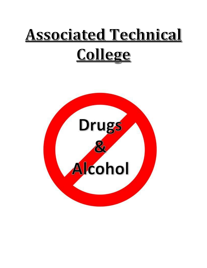# **Associated Technical** <u>College</u>

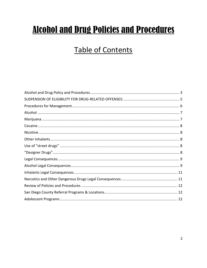# **Alcohol and Drug Policies and Procedures**

## **Table of Contents**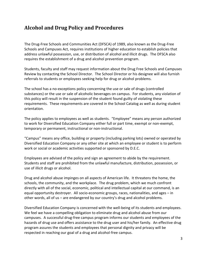### <span id="page-2-0"></span>**Alcohol and Drug Policy and Procedures**

The Drug-Free Schools and Communities Act (DFSCA) of 1989, also known as the Drug-Free Schools and Campuses Act, requires institutions of higher education to establish policies that address unlawful possession, use, or distribution of alcohol and illicit drugs. The DFSCA also requires the establishment of a drug and alcohol prevention program.

Students, faculty and staff may request information about the Drug Free Schools and Campuses Review by contacting the School Director. The School Director or his designee will also furnish referrals to students or employees seeking help for drug or alcohol problems.

The school has a no-exceptions policy concerning the use or sale of drugs (controlled substances) or the use or sale of alcoholic beverages on campus. For students, any violation of this policy will result in the suspension of the student found guilty of violating these requirements. These requirements are covered in the School Catalog as well as during student orientation.

The policy applies to employees as well as students. "Employee" means any person authorized to work for Diversified Education Company either full or part time, exempt or non-exempt, temporary or permanent, instructional or non-instructional.

"Campus" means any office, building or property (including parking lots) owned or operated by Diversified Education Company or any other site at which an employee or student is to perform work or social or academic activities supported or sponsored by D.E.C.

Employees are advised of the policy and sign an agreement to abide by the requirement. Students and staff are prohibited from the unlawful manufacture, distribution, possession, or use of illicit drugs or alcohol.

Drug and alcohol abuse impinges on all aspects of American life. It threatens the home, the schools, the community, and the workplace. The drug problem, which we much confront directly with all of the social, economic, political and intellectual capital at our command, is an equal opportunity destroyer. All socio-economic groups, races, nationalities, and ages – in other words, all of us – are endangered by our country's drug and alcohol problems.

Diversified Education Company is concerned with the well-being of its students and employees. We feel we have a compelling obligation to eliminate drug and alcohol abuse from our campuses. A successful drug-free campus program informs our students and employees of the hazards of drug use and offers assistance to the drug user and his/her family. An effective drug program assures the students and employees that personal dignity and privacy will be respected in reaching our goal of a drug and alcohol-free campus.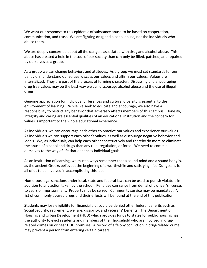We want our response to this epidemic of substance abuse to be based on cooperation, communication, and trust. We are fighting drug and alcohol abuse, not the individuals who abuse them.

We are deeply concerned about all the dangers associated with drug and alcohol abuse. This abuse has created a hole in the soul of our society than can only be filled, patched, and repaired by ourselves as a group.

As a group we can change behaviors and attitudes. As a group we must set standards for our behaviors, understand our values, discuss our values and affirm our values. Values are internalized. They are part of the process of forming character. Discussing and encouraging drug free values may be the best way we can discourage alcohol abuse and the use of illegal drugs.

Genuine appreciation for individual differences and cultural diversity is essential to the environment of learning. While we seek to educate and encourage, we also have a responsibility to restrict any behavior that adversely affects members of this campus. Honesty, integrity and caring are essential qualities of an educational institution and the concern for values is important to the whole educational experience.

As individuals, we can encourage each other to practice our values and experience our values. As individuals we can support each other's values, as well as discourage negative behavior and ideals. We, as individuals, can help each other constructively and thereby do more to eliminate the abuse of alcohol and drugs than any rule, regulation, or force. We need to commit ourselves to the way of life that enhances individual goals.

As an institution of learning, we must always remember that a sound mind and a sound body is, as the ancient Greeks believed, the beginning of a worthwhile and satisfying life. Our goal is for all of us to be involved in accomplishing this ideal.

Numerous legal sanctions under local, state and federal laws can be used to punish violators in addition to any action taken by the school. Penalties can range from denial of a driver's license, to years of imprisonment. Property may be seized. Community service may be mandated. A list of commonly abused drugs and their effects will be found at the end of this publication.

Students may lose eligibility for financial aid, could be denied other federal benefits such as Social Security, retirement, welfare, disability, and veterans' benefits. The Department of Housing and Urban Development (HUD) which provides funds to states for public housing has the authority to evict residents and members of their household who are involved in drugrelated crimes on or near HUD premises. A record of a felony conviction in drug-related crime may prevent a person from entering certain careers.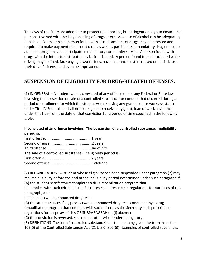The laws of the State are adequate to protect the innocent, but stringent enough to ensure that persons involved with the illegal dealing of drugs or excessive use of alcohol can be adequately punished. For example, a person found with a small amount of drugs may be arrested and required to make payment of all court costs as well as participate in mandatory drug or alcohol addiction programs and participate in mandatory community service. A person found with drugs with the intent to distribute may be imprisoned. A person found to be intoxicated while driving may be fined, face paying lawyer's fees, have insurance cost increased or denied, lose their driver's license and even be imprisoned.

#### <span id="page-4-0"></span>**SUSPENSION OF ELIGIBILITY FOR DRUG-RELATED OFFENSES:**

(1) IN GENERAL – A student who is convicted of any offense under any Federal or State law involving the possession or sale of a controlled substance for conduct that occurred during a period of enrollment for which the student was receiving any grant, loan or work assistance under Title IV Federal aid shall not be eligible to receive any grant, loan or work assistance under this title from the date of that conviction for a period of time specified in the following table:

#### **If convicted of an offence involving: The possession of a controlled substance: Ineligibility period is:**

| The sale of a controlled substance: Ineligibility period is: |  |  |
|--------------------------------------------------------------|--|--|
|                                                              |  |  |
|                                                              |  |  |

(2) REHABILITATION: A student whose eligibility has been suspended under paragraph (2) may resume eligibility before the end of the ineligibility period determined under such paragraph if: (A) the student satisfactorily completes a drug rehabilitation program that—

(i) complies with such criteria as the Secretary shall prescribe in regulations for purposes of this paragraph; and

(ii) includes two unannounced drug tests:

(B) the student successfully passes two unannounced drug tests conducted by a drug rehabilitation program that complies with such criteria as the Secretary shall prescribe in regulations for purposes of this OF SUBPARAGRAH (a) (I) above; or

(C) the conviction is reversed, set aside or otherwise rendered nugatory.

(3) DEFINITIONS The term "controlled substance" has the meaning given the term in section 102(6) of the Controlled Substances Act (21 U.S.C. 802(6)) Examples of controlled substances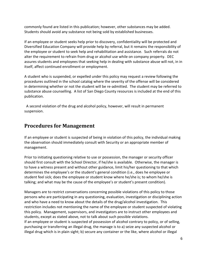commonly found are listed in this publication; however, other substances may be added. Students should avoid any substance not being sold by established businesses.

If an employee or student seeks help prior to discovery, confidentiality will be protected and Diversified Education Company will provide help by referral, but it remains the responsibility of the employee or student to seek help and rehabilitation and assistance. Such referrals do not alter the requirement to refrain from drug or alcohol use while on company property. DEC assures students and employees that seeking help in dealing with substance abuse will not, in in itself, affect continued enrollment or employment.

A student who is suspended, or expelled under this policy may request a review following the procedures outlined in the school catalog where the severity of the offense will be considered in determining whether or not the student will be re-admitted. The student may be referred to substance abuse counselling. A list of San Diego County resources is included at the end of this publication.

 A second violation of the drug and alcohol policy, however, will result in permanent suspension.

#### <span id="page-5-0"></span>**Procedures for Management**

If an employee or student is suspected of being in violation of this policy, the individual making the observation should immediately consult with Security or an appropriate member of management.

Prior to initiating questioning relative to use or possession, the manager or security officer should first consult with the School Director, if he/she is available. Otherwise, the manager is to have a witness present and without other guidance, limit his/her questioning to that which determines the employee's or the student's general condition (i.e., does he employee or student feel sick; does the employee or student know where he/she is; to whom he/she is talking; and what may be the cause of the employee's or student's present condition).

Managers are to restrict conversations concerning possible violations of this policy to those persons who are participating in any questioning, evaluation, investigation or disciplining action and who have a need to know about the details of the drug/alcohol investigation. This restriction includes not mentioning the name of the employee or student suspected of violating this policy. Management, supervisors, and investigators are to instruct other employees and students, except as stated above, not to talk about such possible violations. If an employee or student is suspected of possession of alcohol contrary to policy, or of selling, purchasing or transferring an illegal drug, the manage is to a) seize any suspected alcohol or illegal drug which is in plain sight; b) secure any container or the like, where alcohol or illegal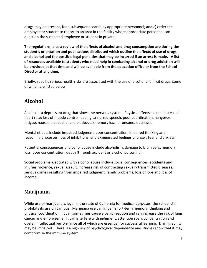drugs may be present, for a subsequent search by appropriate personnel; and c) order the employee or student to report to an area in the facility where appropriate personnel can question the suspected employee or student in private.

**The regulations, plus a review of the effects of alcohol and drug consumption are during the student's orientation and publications distributed which outline the effects of use of drugs and alcohol and the possible legal penalties that may be incurred if an arrest is made. A list of resources available to students who need help in combating alcohol or drug addiction will be provided at that time and will be available from the education office or from the School Director at any time.**

Briefly, specific serious health risks are associated with the use of alcohol and illicit drugs, some of which are listed below.

## <span id="page-6-0"></span>**Alcohol**

Alcohol is a depressant drug that slows the nervous system. Physical effects include increased heart rate; loss of muscle control leading to slurred speech, poor coordination, hangover, fatigue, nausea, headache, and blackouts (memory loss, or unconsciousness).

Mental effects include impaired judgment, poor concentration, impaired thinking and reasoning processes, loss of inhibitions, and exaggerated feelings of anger, fear and anxiety.

Potential consequences of alcohol abuse include alcoholism, damage to brain cells, memory loss, poor concentration, death (through accident or alcohol poisoning).

Social problems associated with alcohol abuse include social consequences, accidents and injuries, violence, sexual assault, increase risk of contracting sexually transmitted diseases, serious crimes resulting from impaired judgment, family problems, loss of jobs and loss of income.

### <span id="page-6-1"></span>**Marijuana**

While use of marijuana is legal in the state of California for medical purposes, the school still prohibits its use on campus. Marijuana use can impair short-term memory, thinking and physical coordination. It can sometimes cause a panic reaction and can increase the risk of lung cancer and emphysema. It can interfere with judgment, attention span, concentration and overall intellectual performance all of which are essential for successful learning. Driving ability may be impaired. There is a high risk of psychological dependence and studies show that it may compromise the immune system.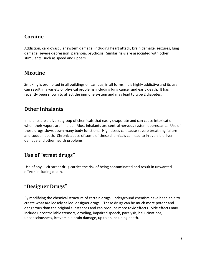#### <span id="page-7-0"></span>**Cocaine**

Addiction, cardiovascular system damage, including heart attack, brain damage, seizures, lung damage, severe depression, paranoia, psychosis. Similar risks are associated with other stimulants, such as speed and uppers.

### <span id="page-7-1"></span>**Nicotine**

Smoking is prohibited in all buildings on campus, in all forms. It is highly addictive and its use can result in a variety of physical problems including lung cancer and early death. It has recently been shown to affect the immune system and may lead to type 2 diabetes.

### <span id="page-7-2"></span>**Other Inhalants**

Inhalants are a diverse group of chemicals that easily evaporate and can cause intoxication when their vapors are inhaled. Most inhalants are central nervous system depressants. Use of these drugs slows down many body functions. High doses can cause severe breathing failure and sudden death. Chronic abuse of some of these chemicals can lead to irreversible liver damage and other health problems.

### <span id="page-7-3"></span>**Use of "street drugs"**

Use of any illicit street drug carries the risk of being contaminated and result in unwanted effects including death.

### <span id="page-7-4"></span>**"Designer Drugs"**

By modifying the chemical structure of certain drugs, underground chemists have been able to create what are loosely called 'designer drugs'. These drugs can be much more potent and dangerous than the original substances and can produce more toxic effects. Side effects may include uncontrollable tremors, drooling, impaired speech, paralysis, hallucinations, unconsciousness, irreversible brain damage, up to an including death.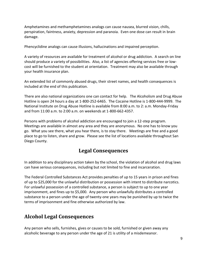Amphetamines and methamphetamines analogs can cause nausea, blurred vision, chills, perspiration, faintness, anxiety, depression and paranoia. Even one dose can result in brain damage.

Phencyclidine analogs can cause illusions, hallucinations and impaired perception.

A variety of resources are available for treatment of alcohol or drug addiction. A search on line should produce a variety of possibilities. Also, a list of agencies offering services free or lowcost will be furnished to the student at orientation. Treatment may also be available through your health insurance plan.

An extended list of commonly abused drugs, their street names, and health consequences is included at the end of this publication.

There are also national organizations one can contact for help. The Alcoholism and Drug Abuse Hotline is open 24 hours a day at 1-800-252-6465. The Cocaine Hotline is 1-800-444-9999. The National Institute on Drug Abuse Hotline is available from 8:00 a.m. to 2: a.m. Monday-Friday and from 11:00 a.m. to 2:00 a.m. on weekends at 1-800-662-4357.

Persons with problems of alcohol addiction are encouraged to join a 12-step program. Meetings are available in almost any area and they are anonymous. No one has to know you go. What you see there, what you hear there, is to stay there. Meetings are free and a good place to go to listen, share and grow. Please see the list of locations available throughout San Diego County.

#### **Legal Consequences**

<span id="page-8-0"></span>In addition to any disciplinary action taken by the school, the violation of alcohol and drug laws can have serious consequences, including but not limited to fine and incarceration.

The Federal Controlled Substances Act provides penalties of up to 15 years in prison and fines of up to \$25,000 for the unlawful distribution or possession with intent to distribute narcotics. For unlawful possession of a controlled substance, a person is subject to up to one year imprisonment, and fines up to \$5,000. Any person who unlawfully distributes a controlled substance to a person under the age of twenty-one years may be punished by up to twice the terms of imprisonment and fine otherwise authorized by law.

### <span id="page-8-1"></span>**Alcohol Legal Consequences**

Any person who sells, furnishes, gives or causes to be sold, furnished or given away any alcoholic beverage to any person under the age of 21 is utility of a misdemeanor.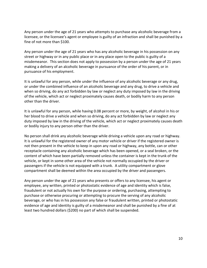Any person under the age of 21 years who attempts to purchase any alcoholic beverage from a licensee, or the licensee's agent or employee is guilty of an infraction and shall be punished by a fine of not more than \$100.

Any person under the age of 21 years who has any alcoholic beverage in his possession on any street or highway or in any public place or in any place open to the public is guilty of a misdemeanor. This section does not apply to possession by a person under the age of 21 years making a delivery of an alcoholic beverage in pursuance of the order of his parent, or in pursuance of his employment.

It is unlawful for any person, while under the influence of any alcoholic beverage or any drug, or under the combined influence of an alcoholic beverage and any drug, to drive a vehicle and when so driving, do any act forbidden by law or neglect any duty imposed by law in the driving of the vehicle, which act or neglect proximately causes death, or bodily harm to any person other than the driver.

It is unlawful for any person, while having 0.08 percent or more, by weight, of alcohol in his or her blood to drive a vehicle and when so driving, do any act forbidden by law or neglect any duty imposed by law in the driving of the vehicle, which act or neglect proximately causes death or bodily injury to any person other than the driver.

No person shall drink any alcoholic beverage while driving a vehicle upon any road or highway. It is unlawful for the registered owner of any motor vehicle or driver if the registered owner is not then present in the vehicle to keep in upon any road or highway, any bottle, can or other receptacle containing any alcoholic beverage which has been opened, or a seal broken, or the content of which have been partially removed unless the container is kept in the trunk of the vehicle, or kept in some other area of the vehicle not normally occupied by the driver or passengers if the vehicle is not equipped with a trunk. A utility compartment or glove compartment shall be deemed within the area occupied by the driver and passengers.

Any person under the age of 21 years who presents or offers to any licensee, his agent or employee, any written, printed or photostatic evidence of age and identity which is false, fraudulent or not actually his own for the purpose or ordering, purchasing, attempting to purchase or otherwise procuring or attempting to procure the serving of any alcoholic beverage, or who has in his possession any false or fraudulent written, printed or photostatic evidence of age and identity is guilty of a misdemeanor and shall be punished by a fine of at least two hundred dollars (\$200) no part of which shall be suspended.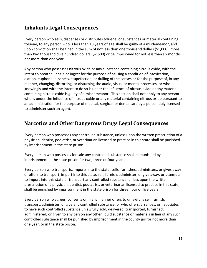#### <span id="page-10-0"></span>**Inhalants Legal Consequences**

Every person who sells, dispenses or distributes toluene, or substances or material containing toluene, to any person who is less than 18 years of age shall be guilty of a misdemeanor, and upon conviction shall be fined in the sum of not less than one thousand dollars (\$1,000), more than two thousand dive hundred dollars (\$2,500) or be imprisoned for not less than six months nor more than one year.

Any person who possesses nitrous oxide or any substance containing nitrous oxide, with the intent to breathe, inhale or ingest for the purpose of causing a condition of intoxication, elation, euphoria, dizziness, stupefaction, or dulling of the senses or for the purpose of, in any manner, changing, distorting, or disturbing the audio, visual or mental processes, or who knowingly and with the intent to do so is under the influence of nitrous oxide or any material containing nitrous oxide is guilty of a misdemeanor. This section shall not apply to any person who is under the influence of nitrous oxide or any material containing nitrous oxide pursuant to an administration for the purpose of medical, surgical, or dental care by a person duly licensed to administer such an agent.

#### <span id="page-10-1"></span>**Narcotics and Other Dangerous Drugs Legal Consequences**

Every person who possesses any controlled substance, unless upon the written prescription of a physician, dentist, podiatrist, or veterinarian licensed to practice in this state shall be punished by imprisonment in the state prison.

Every person who possesses for sale any controlled substance shall be punished by imprisonment in the state prison for two, three or four years.

Every person who transports, imports into the state, sells, furnishes, administers, or gives away or offers to transport, import into this state, sell, furnish, administer, or give away, or attempts to import into this state or transport any controlled substance, unless upon the written prescription of a physician, dentist, podiatrist, or veterinarian licensed to practice in this state, shall be punished by imprisonment in the state prison for three, four or five years.

Every person who agrees, consents or in any manner offers to unlawfully sell, furnish, transport, administer, or give any controlled substance, or who offers, arranges, or negotiates to have such controlled substance unlawfully sold, delivered, transported, furnished, administered, or given to any person any other liquid substance or materials in lieu of any such controlled substance shall be punished by imprisonment in the county jail for not more than one year, or in the state prison.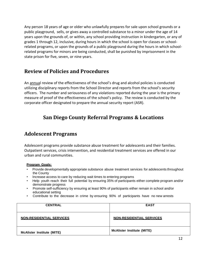Any person 18 years of age or older who unlawfully prepares for sale upon school grounds or a public playground, sells, or gives away a controlled substance to a minor under the age of 14 years upon the grounds of, or within, any school providing instruction in kindergarten, or any of grades 1 through 12, inclusive, during hours in which the school is open for classes or schoolrelated programs, or upon the grounds of a public playground during the hours in which schoolrelated programs for minors are being conducted, shall be punished by imprisonment in the state prison for five, seven, or nine years.

#### <span id="page-11-0"></span>**Review of Policies and Procedures**

An annual review of the effectiveness of the school's drug and alcohol policies is conducted utilizing disciplinary reports from the School Director and reports from the school's security officers. The number and seriousness of any violations reported during the year is the primary measure of proof of the effectiveness of the school's policy. The review is conducted by the corporate officer designated to prepare the annual security report (ASR).

### <span id="page-11-1"></span>**San Diego County Referral Programs & Locations**

#### <span id="page-11-2"></span>**Adolescent Programs**

Adolescent programs provide substance abuse treatment for adolescents and their families. Outpatient services, crisis intervention, and residential treatment services are offered in our urban and rural communities.

#### **Program Goals:**

- Provide developmentally appropriate substance abuse treatment services for adolescents throughout the County
- Increase access to care by reducing wait times to entering programs
- Help youth reach their full potential by ensuring 35% of participants either complete program and/or demonstrate progress
- Promote self-sufficiency by ensuring at least 90% of participants either remain in school and/or educational setting
- Contribute to the decrease in crime by ensuring 90% of participants have no new arrests

| <b>CENTRAL</b>                    | <b>EAST</b>                       |
|-----------------------------------|-----------------------------------|
| <b>NON-RESIDENTIAL SERVICES</b>   | <b>NON-RESIDENTIAL SERVICES</b>   |
| <b>McAlister Institute (MITE)</b> | <b>McAlister Institute (MITE)</b> |